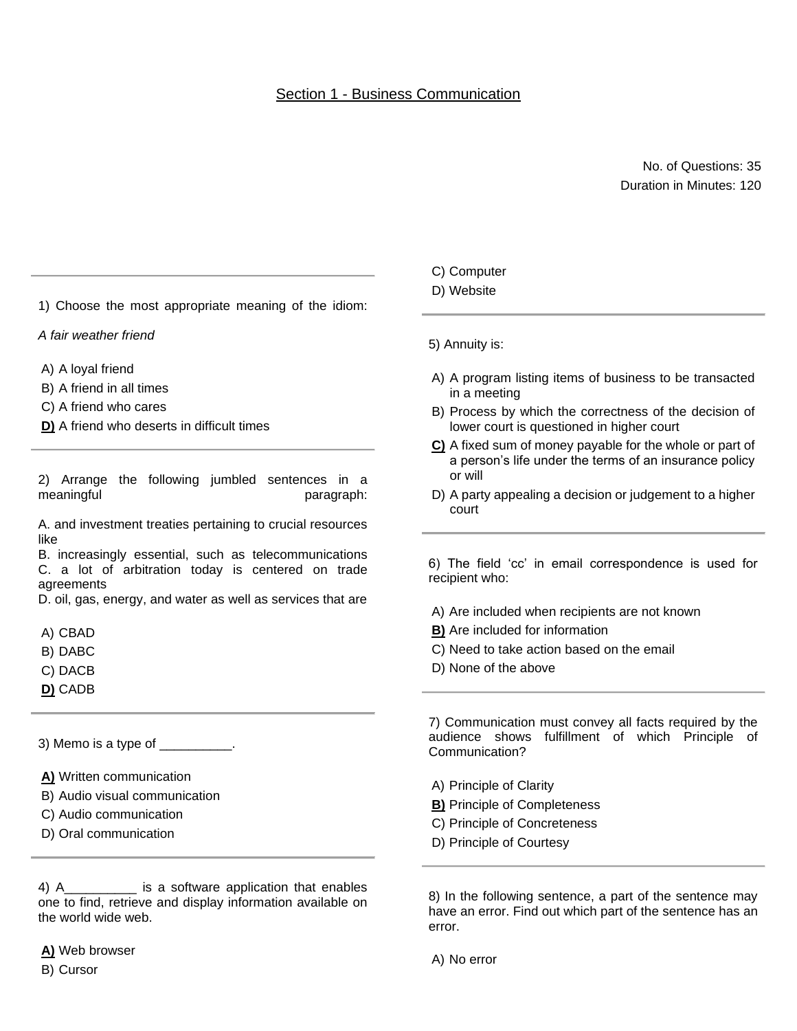## Section 1 - Business Communication

#### No. of Questions: 35 Duration in Minutes: 120

1) Choose the most appropriate meaning of the idiom:

#### *A fair weather friend*

- A) A loyal friend
- B) A friend in all times
- C) A friend who cares
- **D)** A friend who deserts in difficult times

2) Arrange the following jumbled sentences in a meaningful paragraph:

A. and investment treaties pertaining to crucial resources like

B. increasingly essential, such as telecommunications C. a lot of arbitration today is centered on trade agreements

D. oil, gas, energy, and water as well as services that are

- A) CBAD
- B) DABC
- C) DACB
- **D)** CADB

3) Memo is a type of \_\_\_\_\_\_\_\_\_\_.

- **A)** Written communication
- B) Audio visual communication
- C) Audio communication
- D) Oral communication

4) A\_\_\_\_\_\_\_\_\_\_ is a software application that enables one to find, retrieve and display information available on the world wide web.

**A)** Web browser B) Cursor

C) Computer

#### D) Website

5) Annuity is:

- A) A program listing items of business to be transacted in a meeting
- B) Process by which the correctness of the decision of lower court is questioned in higher court
- **C)** A fixed sum of money payable for the whole or part of a person's life under the terms of an insurance policy or will
- D) A party appealing a decision or judgement to a higher court

6) The field 'cc' in email correspondence is used for recipient who:

A) Are included when recipients are not known

- **B)** Are included for information
- C) Need to take action based on the email
- D) None of the above

7) Communication must convey all facts required by the audience shows fulfillment of which Principle of Communication?

- A) Principle of Clarity
- **B)** Principle of Completeness
- C) Principle of Concreteness
- D) Principle of Courtesy

8) In the following sentence, a part of the sentence may have an error. Find out which part of the sentence has an error.

A) No error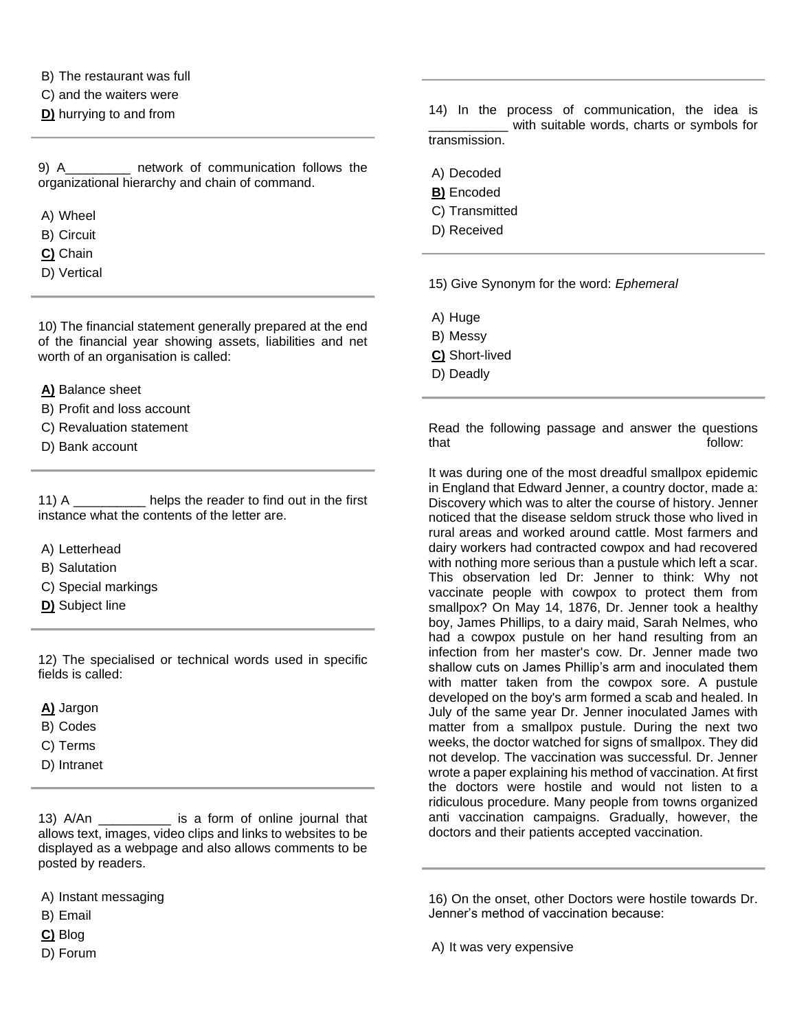B) The restaurant was full

C) and the waiters were

**D)** hurrying to and from

9) A communication follows the organizational hierarchy and chain of command.

- A) Wheel
- B) Circuit
- **C)** Chain
- D) Vertical

10) The financial statement generally prepared at the end of the financial year showing assets, liabilities and net worth of an organisation is called:

**A)** Balance sheet

- B) Profit and loss account
- C) Revaluation statement
- D) Bank account

11) A \_\_\_\_\_\_\_\_\_\_ helps the reader to find out in the first instance what the contents of the letter are.

- A) Letterhead
- B) Salutation
- C) Special markings
- **D)** Subject line

12) The specialised or technical words used in specific fields is called:

**A)** Jargon

- B) Codes
- C) Terms
- D) Intranet

13) A/An \_\_\_\_\_\_\_\_\_\_ is a form of online journal that allows text, images, video clips and links to websites to be displayed as a webpage and also allows comments to be posted by readers.

- A) Instant messaging
- B) Email
- **C)** Blog
- D) Forum

14) In the process of communication, the idea is \_\_\_\_\_\_\_\_\_\_\_ with suitable words, charts or symbols for transmission.

- A) Decoded
- **B)** Encoded
- C) Transmitted
- D) Received

15) Give Synonym for the word: *Ephemeral*

- A) Huge
- B) Messy
- **C)** Short-lived
- D) Deadly

Read the following passage and answer the questions that follow:

It was during one of the most dreadful smallpox epidemic in England that Edward Jenner, a country doctor, made a: Discovery which was to alter the course of history. Jenner noticed that the disease seldom struck those who lived in rural areas and worked around cattle. Most farmers and dairy workers had contracted cowpox and had recovered with nothing more serious than a pustule which left a scar. This observation led Dr: Jenner to think: Why not vaccinate people with cowpox to protect them from smallpox? On May 14, 1876, Dr. Jenner took a healthy boy, James Phillips, to a dairy maid, Sarah Nelmes, who had a cowpox pustule on her hand resulting from an infection from her master's cow. Dr. Jenner made two shallow cuts on James Phillip's arm and inoculated them with matter taken from the cowpox sore. A pustule developed on the boy's arm formed a scab and healed. In July of the same year Dr. Jenner inoculated James with matter from a smallpox pustule. During the next two weeks, the doctor watched for signs of smallpox. They did not develop. The vaccination was successful. Dr. Jenner wrote a paper explaining his method of vaccination. At first the doctors were hostile and would not listen to a ridiculous procedure. Many people from towns organized anti vaccination campaigns. Gradually, however, the doctors and their patients accepted vaccination.

16) On the onset, other Doctors were hostile towards Dr. Jenner's method of vaccination because:

A) It was very expensive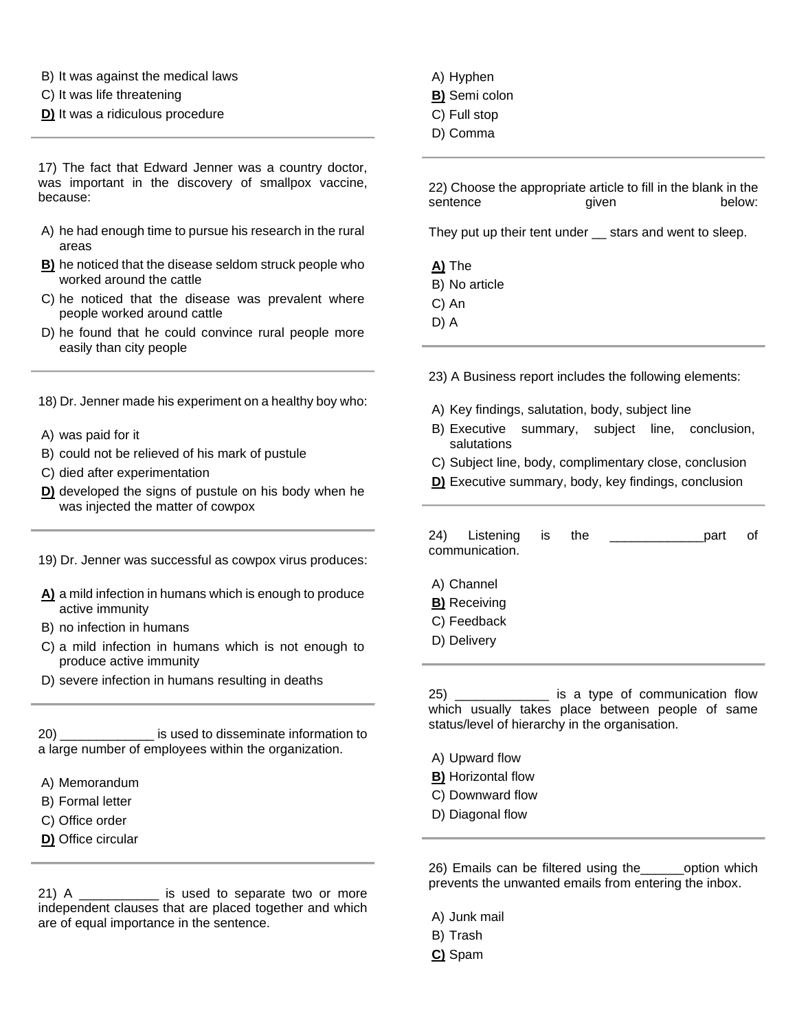- B) It was against the medical laws
- C) It was life threatening
- **D)** It was a ridiculous procedure

17) The fact that Edward Jenner was a country doctor, was important in the discovery of smallpox vaccine, because:

- A) he had enough time to pursue his research in the rural areas
- **B)** he noticed that the disease seldom struck people who worked around the cattle
- C) he noticed that the disease was prevalent where people worked around cattle
- D) he found that he could convince rural people more easily than city people
- 18) Dr. Jenner made his experiment on a healthy boy who:
- A) was paid for it
- B) could not be relieved of his mark of pustule
- C) died after experimentation
- **D)** developed the signs of pustule on his body when he was injected the matter of cowpox
- 19) Dr. Jenner was successful as cowpox virus produces:
- **A)** a mild infection in humans which is enough to produce active immunity
- B) no infection in humans
- C) a mild infection in humans which is not enough to produce active immunity
- D) severe infection in humans resulting in deaths

20) \_\_\_\_\_\_\_\_\_\_\_\_\_ is used to disseminate information to a large number of employees within the organization.

- A) Memorandum
- B) Formal letter
- C) Office order
- **D)** Office circular

21) A \_\_\_\_\_\_\_\_\_\_\_\_\_ is used to separate two or more independent clauses that are placed together and which are of equal importance in the sentence.

- A) Hyphen
- **B)** Semi colon
- C) Full stop
- D) Comma

22) Choose the appropriate article to fill in the blank in the sentence **given below:** 

They put up their tent under \_\_ stars and went to sleep.

**A)** The B) No article C) An

D) A

23) A Business report includes the following elements:

- A) Key findings, salutation, body, subject line
- B) Executive summary, subject line, conclusion, salutations
- C) Subject line, body, complimentary close, conclusion
- **D)** Executive summary, body, key findings, conclusion

| 24)<br>Listening<br>communication.                              | is is | the | part | Ωf |
|-----------------------------------------------------------------|-------|-----|------|----|
| A) Channel<br><b>B)</b> Receiving<br>C) Feedback<br>D) Delivery |       |     |      |    |
|                                                                 |       |     |      |    |

25) \_\_\_\_\_\_\_\_\_\_\_\_\_ is a type of communication flow which usually takes place between people of same status/level of hierarchy in the organisation.

- A) Upward flow
- **B)** Horizontal flow
- C) Downward flow
- D) Diagonal flow

26) Emails can be filtered using the\_\_\_\_\_\_option which prevents the unwanted emails from entering the inbox.

- A) Junk mail
- B) Trash
- **C)** Spam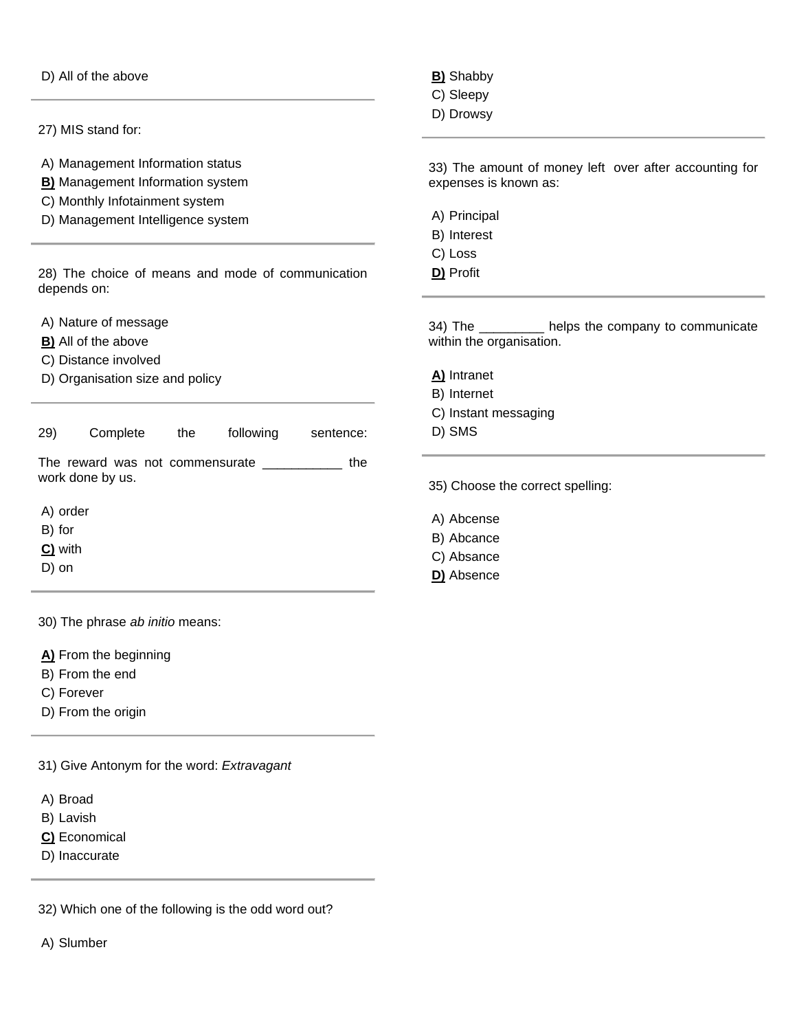D) All of the above

27) MIS stand for:

A) Management Information status

- **B)** Management Information system
- C) Monthly Infotainment system
- D) Management Intelligence system

28) The choice of means and mode of communication depends on:

A) Nature of message

- **B)** All of the above
- C) Distance involved
- D) Organisation size and policy
- 29) Complete the following sentence:

The reward was not commensurate \_\_\_\_\_\_\_\_\_\_\_ the work done by us.

A) order

- B) for
- **C)** with
- D) on

30) The phrase *ab initio* means:

**A)** From the beginning

- B) From the end
- C) Forever
- D) From the origin

31) Give Antonym for the word: *Extravagant*

- A) Broad
- B) Lavish
- **C)** Economical
- D) Inaccurate

32) Which one of the following is the odd word out?

A) Slumber

**B)** Shabby

- C) Sleepy
- D) Drowsy

33) The amount of money left over after accounting for expenses is known as:

- A) Principal
- B) Interest
- C) Loss
- **D)** Profit

34) The \_\_\_\_\_\_\_\_\_ helps the company to communicate within the organisation.

**A)** Intranet

- B) Internet
- C) Instant messaging
- D) SMS

35) Choose the correct spelling:

- A) Abcense
- B) Abcance
- C) Absance
- **D)** Absence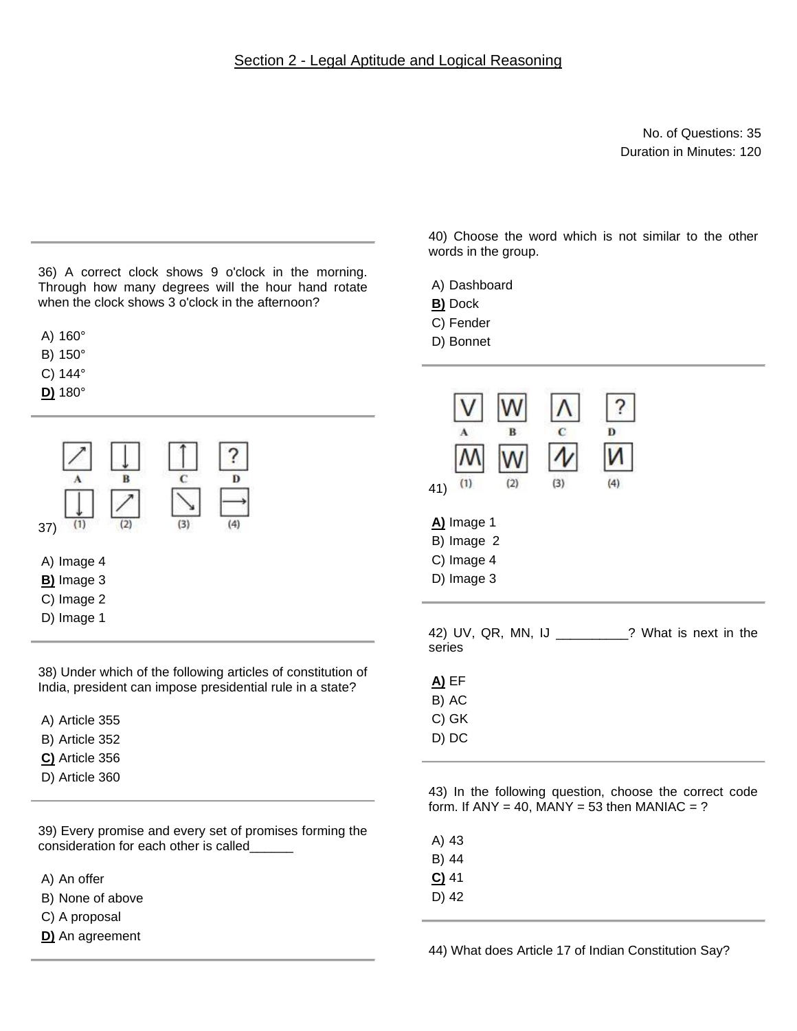### Section 2 - Legal Aptitude and Logical Reasoning

No. of Questions: 35 Duration in Minutes: 120

36) A correct clock shows 9 o'clock in the morning. Through how many degrees will the hour hand rotate when the clock shows 3 o'clock in the afternoon?

A) 160°

B) 150°

C) 144°

**D)** 180°



38) Under which of the following articles of constitution of India, president can impose presidential rule in a state?

A) Article 355

- B) Article 352
- **C)** Article 356
- D) Article 360

39) Every promise and every set of promises forming the consideration for each other is called\_\_\_\_\_\_

A) An offer

B) None of above

C) A proposal

**D)** An agreement

40) Choose the word which is not similar to the other words in the group.

A) Dashboard

- **B)** Dock
- C) Fender
- D) Bonnet

| R<br>(3)<br>(1)<br>(2)<br>41)                                                                          | Ð<br>(4) |  |  |  |
|--------------------------------------------------------------------------------------------------------|----------|--|--|--|
| A) Image 1<br>B) Image 2<br>C) Image 4<br>D) Image 3                                                   |          |  |  |  |
| 42) UV, QR, MN, IJ _________? What is next in the<br>series                                            |          |  |  |  |
| <b>A)</b> EF                                                                                           |          |  |  |  |
| B) AC                                                                                                  |          |  |  |  |
| C) GK                                                                                                  |          |  |  |  |
| D) DC                                                                                                  |          |  |  |  |
| 43) In the following question, choose the correct code<br>form. If ANY = 40, MANY = 53 then MANIAC = ? |          |  |  |  |

A) 43

B) 44

**C)** 41

D) 42

44) What does Article 17 of Indian Constitution Say?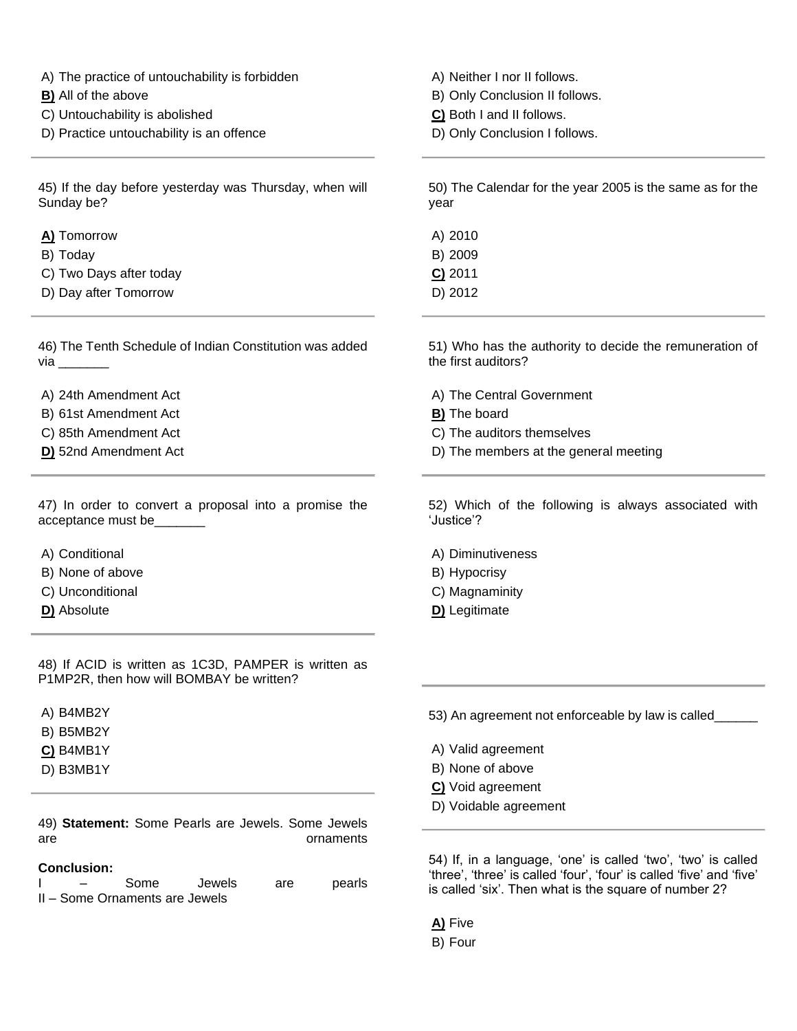A) The practice of untouchability is forbidden

- **B)** All of the above
- C) Untouchability is abolished
- D) Practice untouchability is an offence

45) If the day before yesterday was Thursday, when will Sunday be?

- **A)** Tomorrow
- B) Today
- C) Two Days after today
- D) Day after Tomorrow

46) The Tenth Schedule of Indian Constitution was added  $via$   $\qquad \qquad$ 

A) 24th Amendment Act

- B) 61st Amendment Act
- C) 85th Amendment Act
- **D)** 52nd Amendment Act

47) In order to convert a proposal into a promise the acceptance must be\_\_\_\_\_\_\_

- A) Conditional
- B) None of above
- C) Unconditional
- **D)** Absolute

48) If ACID is written as 1C3D, PAMPER is written as P1MP2R, then how will BOMBAY be written?

A) B4MB2Y

- B) B5MB2Y
- **C)** B4MB1Y

D) B3MB1Y

49) **Statement:** Some Pearls are Jewels. Some Jewels are **are** ornaments

#### **Conclusion:**

I – Some Jewels are pearls II – Some Ornaments are Jewels

A) Neither I nor II follows.

- B) Only Conclusion II follows.
- **C)** Both I and II follows.
- D) Only Conclusion I follows.

50) The Calendar for the year 2005 is the same as for the year

A) 2010 B) 2009 **C)** 2011 D) 2012

51) Who has the authority to decide the remuneration of the first auditors?

- A) The Central Government
- **B)** The board
- C) The auditors themselves
- D) The members at the general meeting

52) Which of the following is always associated with 'Justice'?

A) Diminutiveness

- B) Hypocrisy
- C) Magnaminity
- **D)** Legitimate

53) An agreement not enforceable by law is called\_\_\_\_\_\_

- A) Valid agreement
- B) None of above
- **C)** Void agreement
- D) Voidable agreement

54) If, in a language, 'one' is called 'two', 'two' is called 'three', 'three' is called 'four', 'four' is called 'five' and 'five' is called 'six'. Then what is the square of number 2?

**A)** Five

B) Four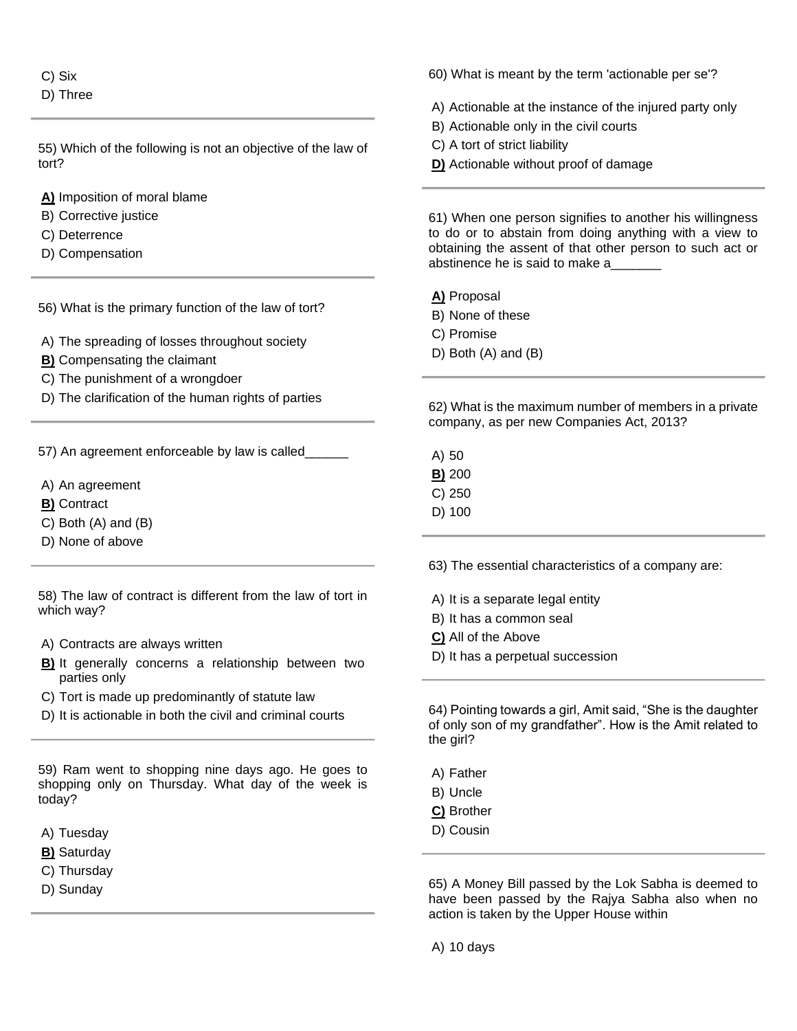C) Six D) Three

55) Which of the following is not an objective of the law of tort?

**A)** Imposition of moral blame

- B) Corrective justice
- C) Deterrence
- D) Compensation

56) What is the primary function of the law of tort?

- A) The spreading of losses throughout society
- **B)** Compensating the claimant
- C) The punishment of a wrongdoer
- D) The clarification of the human rights of parties

57) An agreement enforceable by law is called

- A) An agreement
- **B)** Contract
- C) Both (A) and (B)
- D) None of above

58) The law of contract is different from the law of tort in which way?

- A) Contracts are always written
- **B)** It generally concerns a relationship between two parties only
- C) Tort is made up predominantly of statute law
- D) It is actionable in both the civil and criminal courts

59) Ram went to shopping nine days ago. He goes to shopping only on Thursday. What day of the week is today?

- A) Tuesday
- **B)** Saturday
- C) Thursday
- D) Sunday

60) What is meant by the term 'actionable per se'?

A) Actionable at the instance of the injured party only

- B) Actionable only in the civil courts
- C) A tort of strict liability
- **D)** Actionable without proof of damage

61) When one person signifies to another his willingness to do or to abstain from doing anything with a view to obtaining the assent of that other person to such act or abstinence he is said to make a\_\_\_\_\_\_\_

**A)** Proposal

- B) None of these
- C) Promise
- D) Both (A) and (B)

62) What is the maximum number of members in a private company, as per new Companies Act, 2013?

A) 50 **B)** 200 C) 250 D) 100

63) The essential characteristics of a company are:

A) It is a separate legal entity

- B) It has a common seal
- **C)** All of the Above
- D) It has a perpetual succession

64) Pointing towards a girl, Amit said, "She is the daughter of only son of my grandfather". How is the Amit related to the girl?

- A) Father
- B) Uncle
- **C)** Brother
- D) Cousin

65) A Money Bill passed by the Lok Sabha is deemed to have been passed by the Rajya Sabha also when no action is taken by the Upper House within

A) 10 days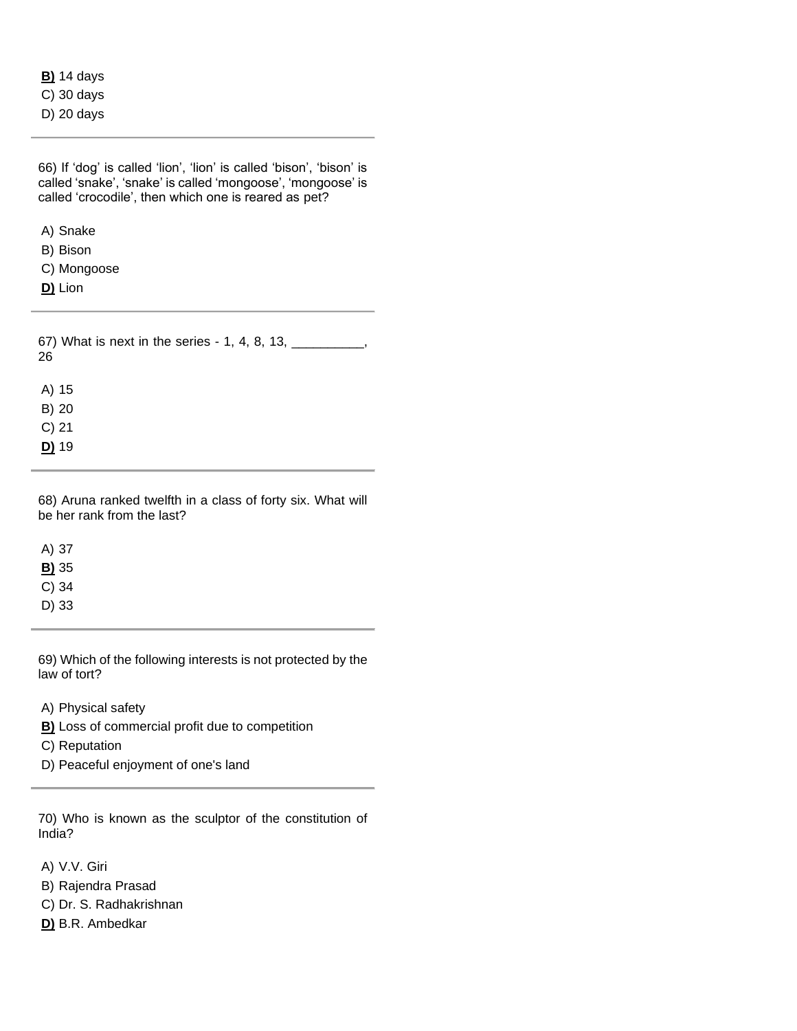|  | <b>B)</b> 14 days |
|--|-------------------|
|  | $C)$ 30 days      |
|  | D) 20 days        |

| 66) If 'dog' is called 'lion', 'lion' is called 'bison', 'bison' is<br>called 'snake', 'snake' is called 'mongoose', 'mongoose' is<br>called 'crocodile', then which one is reared as pet? |  |  |  |  |  |
|--------------------------------------------------------------------------------------------------------------------------------------------------------------------------------------------|--|--|--|--|--|
| A) Snake                                                                                                                                                                                   |  |  |  |  |  |
| B) Bison                                                                                                                                                                                   |  |  |  |  |  |
| C) Mongoose                                                                                                                                                                                |  |  |  |  |  |
| D) Lion                                                                                                                                                                                    |  |  |  |  |  |
| 67) What is next in the series - 1, 4, 8, 13, $\frac{1}{2}$<br>26                                                                                                                          |  |  |  |  |  |
| A) 15                                                                                                                                                                                      |  |  |  |  |  |
| $B)$ 20                                                                                                                                                                                    |  |  |  |  |  |
| $C$ ) 21                                                                                                                                                                                   |  |  |  |  |  |
| D) 19                                                                                                                                                                                      |  |  |  |  |  |
|                                                                                                                                                                                            |  |  |  |  |  |

68) Aruna ranked twelfth in a class of forty six. What will be her rank from the last?

A) 37 **B)** 35 C) 34

D) 33

69) Which of the following interests is not protected by the law of tort?

A) Physical safety

**B)** Loss of commercial profit due to competition

C) Reputation

D) Peaceful enjoyment of one's land

70) Who is known as the sculptor of the constitution of India?

A) V.V. Giri

B) Rajendra Prasad

C) Dr. S. Radhakrishnan

**D)** B.R. Ambedkar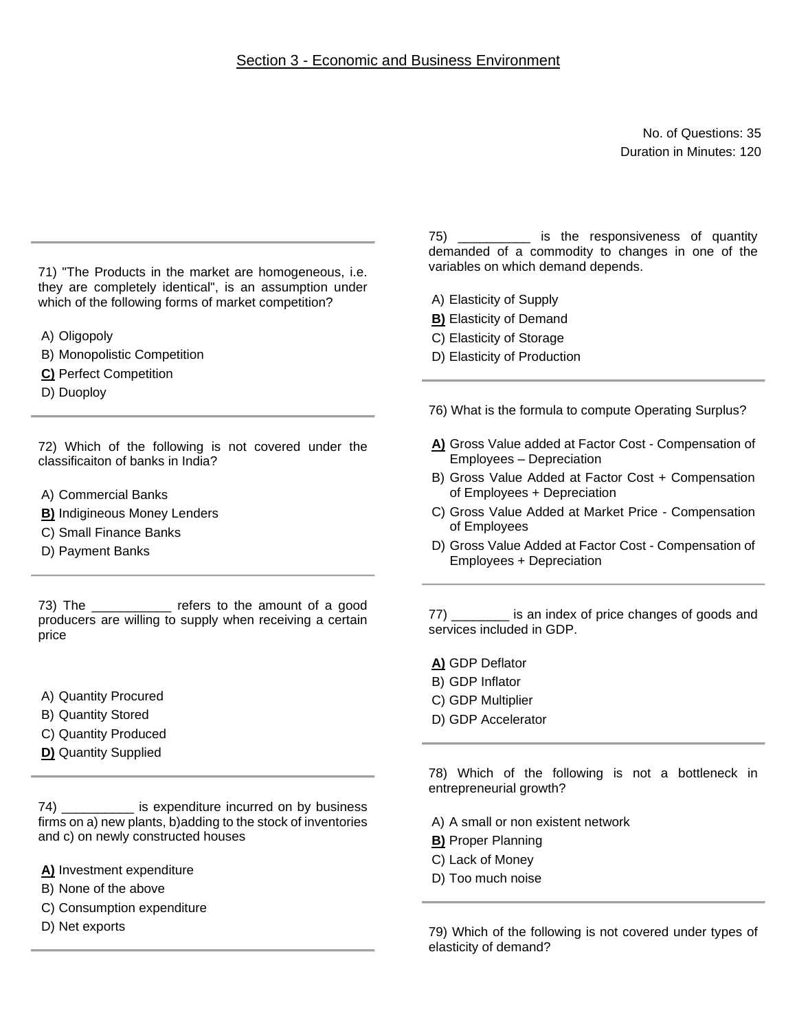## Section 3 - Economic and Business Environment

No. of Questions: 35 Duration in Minutes: 120

71) "The Products in the market are homogeneous, i.e. they are completely identical", is an assumption under which of the following forms of market competition?

A) Oligopoly

B) Monopolistic Competition

**C)** Perfect Competition

D) Duoploy

72) Which of the following is not covered under the classificaiton of banks in India?

- A) Commercial Banks
- **B)** Indigineous Money Lenders
- C) Small Finance Banks
- D) Payment Banks

73) The \_\_\_\_\_\_\_\_\_\_\_ refers to the amount of a good producers are willing to supply when receiving a certain price

- A) Quantity Procured
- B) Quantity Stored
- C) Quantity Produced
- **D)** Quantity Supplied

74) \_\_\_\_\_\_\_\_\_\_ is expenditure incurred on by business firms on a) new plants, b)adding to the stock of inventories and c) on newly constructed houses

**A)** Investment expenditure

- B) None of the above
- C) Consumption expenditure
- D) Net exports

75) \_\_\_\_\_\_\_\_\_\_ is the responsiveness of quantity demanded of a commodity to changes in one of the variables on which demand depends.

A) Elasticity of Supply

- **B)** Elasticity of Demand
- C) Elasticity of Storage
- D) Elasticity of Production

76) What is the formula to compute Operating Surplus?

- **A)** Gross Value added at Factor Cost Compensation of Employees – Depreciation
- B) Gross Value Added at Factor Cost + Compensation of Employees + Depreciation
- C) Gross Value Added at Market Price Compensation of Employees
- D) Gross Value Added at Factor Cost Compensation of Employees + Depreciation

77) \_\_\_\_\_\_\_\_ is an index of price changes of goods and services included in GDP.

- **A)** GDP Deflator
- B) GDP Inflator
- C) GDP Multiplier
- D) GDP Accelerator

78) Which of the following is not a bottleneck in entrepreneurial growth?

- A) A small or non existent network
- **B)** Proper Planning
- C) Lack of Money
- D) Too much noise

79) Which of the following is not covered under types of elasticity of demand?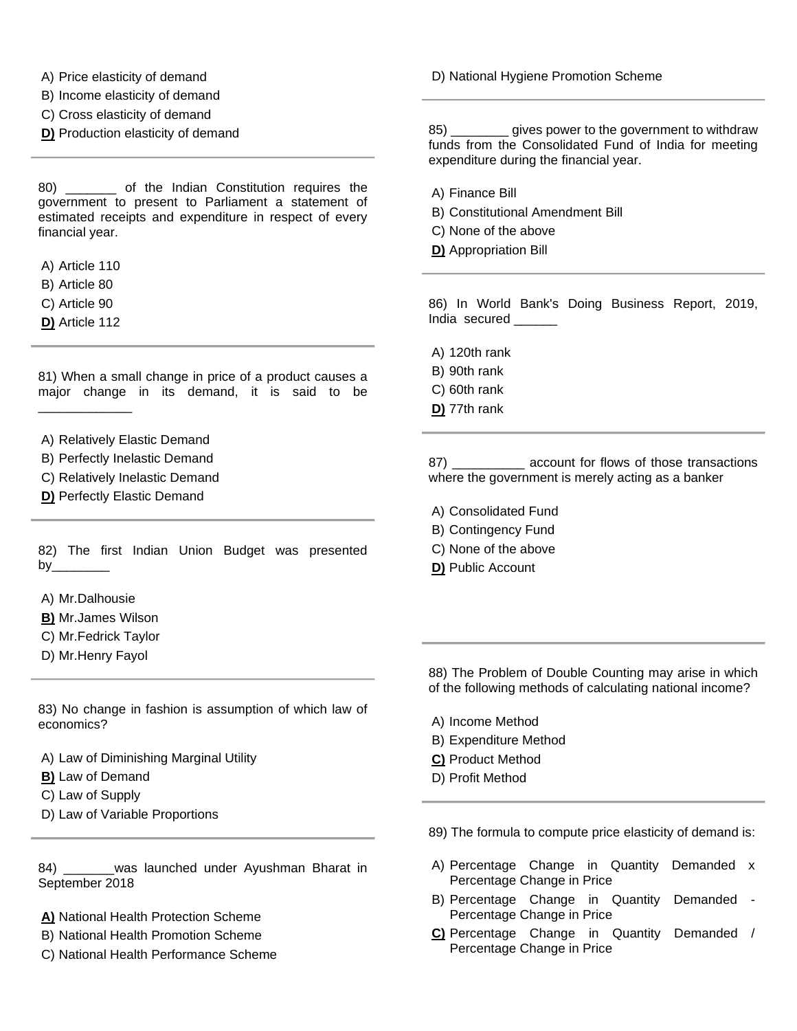- A) Price elasticity of demand
- B) Income elasticity of demand
- C) Cross elasticity of demand
- **D)** Production elasticity of demand

80) \_\_\_\_\_\_\_ of the Indian Constitution requires the government to present to Parliament a statement of estimated receipts and expenditure in respect of every financial year.

- A) Article 110
- B) Article 80
- C) Article 90
- **D)** Article 112

81) When a small change in price of a product causes a major change in its demand, it is said to be \_\_\_\_\_\_\_\_\_\_\_\_\_

- A) Relatively Elastic Demand
- B) Perfectly Inelastic Demand
- C) Relatively Inelastic Demand
- **D)** Perfectly Elastic Demand

82) The first Indian Union Budget was presented by $\_\_$ 

- A) Mr.Dalhousie
- **B)** Mr.James Wilson
- C) Mr.Fedrick Taylor
- D) Mr.Henry Fayol

83) No change in fashion is assumption of which law of economics?

A) Law of Diminishing Marginal Utility

- **B)** Law of Demand
- C) Law of Supply
- D) Law of Variable Proportions

84) was launched under Ayushman Bharat in September 2018

- **A)** National Health Protection Scheme
- B) National Health Promotion Scheme
- C) National Health Performance Scheme

D) National Hygiene Promotion Scheme

85) \_\_\_\_\_\_\_\_ gives power to the government to withdraw funds from the Consolidated Fund of India for meeting expenditure during the financial year.

- A) Finance Bill
- B) Constitutional Amendment Bill
- C) None of the above
- **D)** Appropriation Bill

86) In World Bank's Doing Business Report, 2019, India secured

- A) 120th rank
- B) 90th rank
- C) 60th rank
- **D)** 77th rank

87) \_\_\_\_\_\_\_\_\_\_ account for flows of those transactions where the government is merely acting as a banker

- A) Consolidated Fund
- B) Contingency Fund
- C) None of the above
- **D)** Public Account

88) The Problem of Double Counting may arise in which of the following methods of calculating national income?

- A) Income Method
- B) Expenditure Method
- **C)** Product Method
- D) Profit Method

89) The formula to compute price elasticity of demand is:

- A) Percentage Change in Quantity Demanded x Percentage Change in Price
- B) Percentage Change in Quantity Demanded Percentage Change in Price
- **C)** Percentage Change in Quantity Demanded / Percentage Change in Price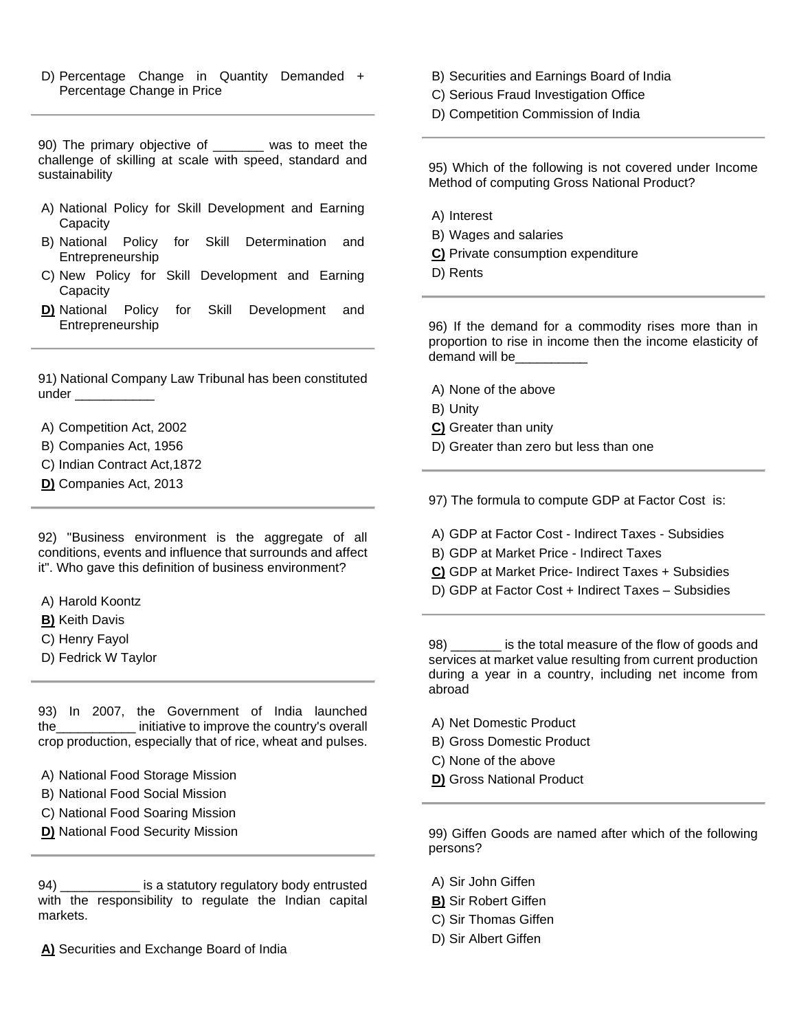D) Percentage Change in Quantity Demanded + Percentage Change in Price

90) The primary objective of \_\_\_\_\_\_\_ was to meet the challenge of skilling at scale with speed, standard and sustainability

- A) National Policy for Skill Development and Earning **Capacity**
- B) National Policy for Skill Determination and Entrepreneurship
- C) New Policy for Skill Development and Earning **Capacity**
- **D)** National Policy for Skill Development and Entrepreneurship

91) National Company Law Tribunal has been constituted under  $\_\_$ 

A) Competition Act, 2002

- B) Companies Act, 1956
- C) Indian Contract Act,1872
- **D)** Companies Act, 2013

92) "Business environment is the aggregate of all conditions, events and influence that surrounds and affect it". Who gave this definition of business environment?

- A) Harold Koontz
- **B)** Keith Davis
- C) Henry Fayol
- D) Fedrick W Taylor

93) In 2007, the Government of India launched the\_\_\_\_\_\_\_\_\_\_\_ initiative to improve the country's overall crop production, especially that of rice, wheat and pulses.

- A) National Food Storage Mission
- B) National Food Social Mission
- C) National Food Soaring Mission
- **D)** National Food Security Mission

94) \_\_\_\_\_\_\_\_\_\_\_ is a statutory regulatory body entrusted with the responsibility to regulate the Indian capital markets.

**A)** Securities and Exchange Board of India

- B) Securities and Earnings Board of India
- C) Serious Fraud Investigation Office
- D) Competition Commission of India

95) Which of the following is not covered under Income Method of computing Gross National Product?

- A) Interest
- B) Wages and salaries
- **C)** Private consumption expenditure
- D) Rents

96) If the demand for a commodity rises more than in proportion to rise in income then the income elasticity of demand will be

- A) None of the above
- B) Unity
- **C)** Greater than unity
- D) Greater than zero but less than one

97) The formula to compute GDP at Factor Cost is:

- A) GDP at Factor Cost Indirect Taxes Subsidies
- B) GDP at Market Price Indirect Taxes
- **C)** GDP at Market Price- Indirect Taxes + Subsidies
- D) GDP at Factor Cost + Indirect Taxes Subsidies

98) \_\_\_\_\_\_\_ is the total measure of the flow of goods and services at market value resulting from current production during a year in a country, including net income from abroad

- A) Net Domestic Product
- B) Gross Domestic Product
- C) None of the above
- **D)** Gross National Product

99) Giffen Goods are named after which of the following persons?

- A) Sir John Giffen
- **B)** Sir Robert Giffen
- C) Sir Thomas Giffen
- D) Sir Albert Giffen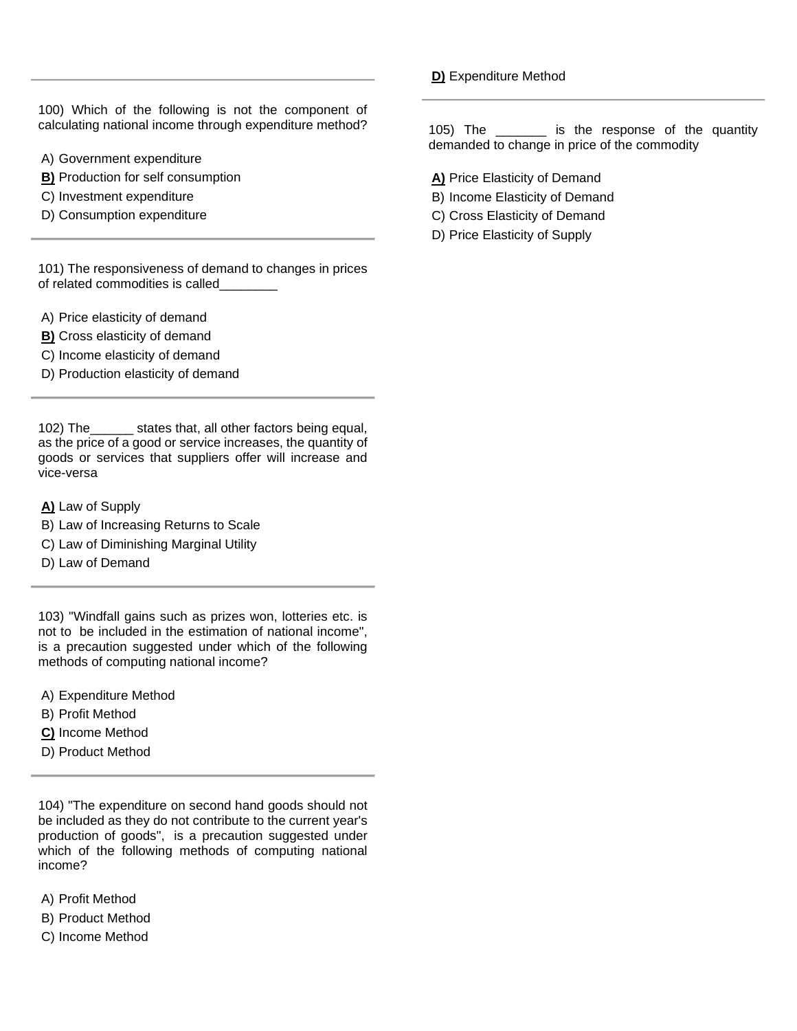100) Which of the following is not the component of calculating national income through expenditure method?

- A) Government expenditure
- **B)** Production for self consumption
- C) Investment expenditure
- D) Consumption expenditure

101) The responsiveness of demand to changes in prices of related commodities is called\_\_\_\_\_\_\_\_

- A) Price elasticity of demand
- **B)** Cross elasticity of demand
- C) Income elasticity of demand
- D) Production elasticity of demand

102) The\_\_\_\_\_\_ states that, all other factors being equal, as the price of a good or service increases, the quantity of goods or services that suppliers offer will increase and vice-versa

- **A)** Law of Supply
- B) Law of Increasing Returns to Scale
- C) Law of Diminishing Marginal Utility
- D) Law of Demand

103) "Windfall gains such as prizes won, lotteries etc. is not to be included in the estimation of national income", is a precaution suggested under which of the following methods of computing national income?

- A) Expenditure Method
- B) Profit Method
- **C)** Income Method
- D) Product Method

104) "The expenditure on second hand goods should not be included as they do not contribute to the current year's production of goods", is a precaution suggested under which of the following methods of computing national income?

- A) Profit Method
- B) Product Method
- C) Income Method

**D)** Expenditure Method

105) The \_\_\_\_\_\_\_ is the response of the quantity demanded to change in price of the commodity

- **A)** Price Elasticity of Demand
- B) Income Elasticity of Demand
- C) Cross Elasticity of Demand
- D) Price Elasticity of Supply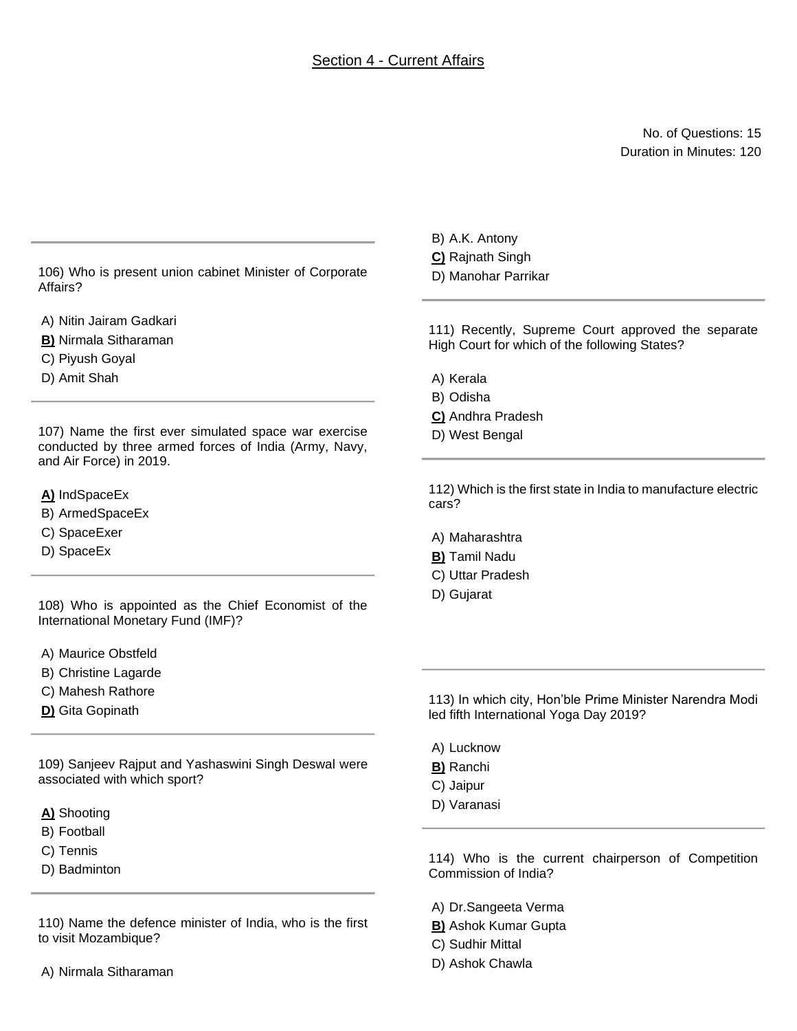## Section 4 - Current Affairs

No. of Questions: 15 Duration in Minutes: 120

106) Who is present union cabinet Minister of Corporate Affairs?

A) Nitin Jairam Gadkari

**B)** Nirmala Sitharaman

C) Piyush Goyal

D) Amit Shah

107) Name the first ever simulated space war exercise conducted by three armed forces of India (Army, Navy, and Air Force) in 2019.

**A)** IndSpaceEx

- B) ArmedSpaceEx
- C) SpaceExer
- D) SpaceEx

108) Who is appointed as the Chief Economist of the International Monetary Fund (IMF)?

A) Maurice Obstfeld

- B) Christine Lagarde
- C) Mahesh Rathore
- **D)** Gita Gopinath

109) Sanjeev Rajput and Yashaswini Singh Deswal were associated with which sport?

- **A)** Shooting
- B) Football
- C) Tennis
- D) Badminton

110) Name the defence minister of India, who is the first to visit Mozambique?

- B) A.K. Antony
- **C)** Rajnath Singh
- D) Manohar Parrikar

111) Recently, Supreme Court approved the separate High Court for which of the following States?

- A) Kerala
- B) Odisha
- **C)** Andhra Pradesh
- D) West Bengal

112) Which is the first state in India to manufacture electric cars?

- A) Maharashtra
- **B)** Tamil Nadu
- C) Uttar Pradesh
- D) Gujarat

113) In which city, Hon'ble Prime Minister Narendra Modi led fifth International Yoga Day 2019?

- A) Lucknow
- **B)** Ranchi
- C) Jaipur
- D) Varanasi

114) Who is the current chairperson of Competition Commission of India?

- A) Dr.Sangeeta Verma
- **B)** Ashok Kumar Gupta
- C) Sudhir Mittal
- D) Ashok Chawla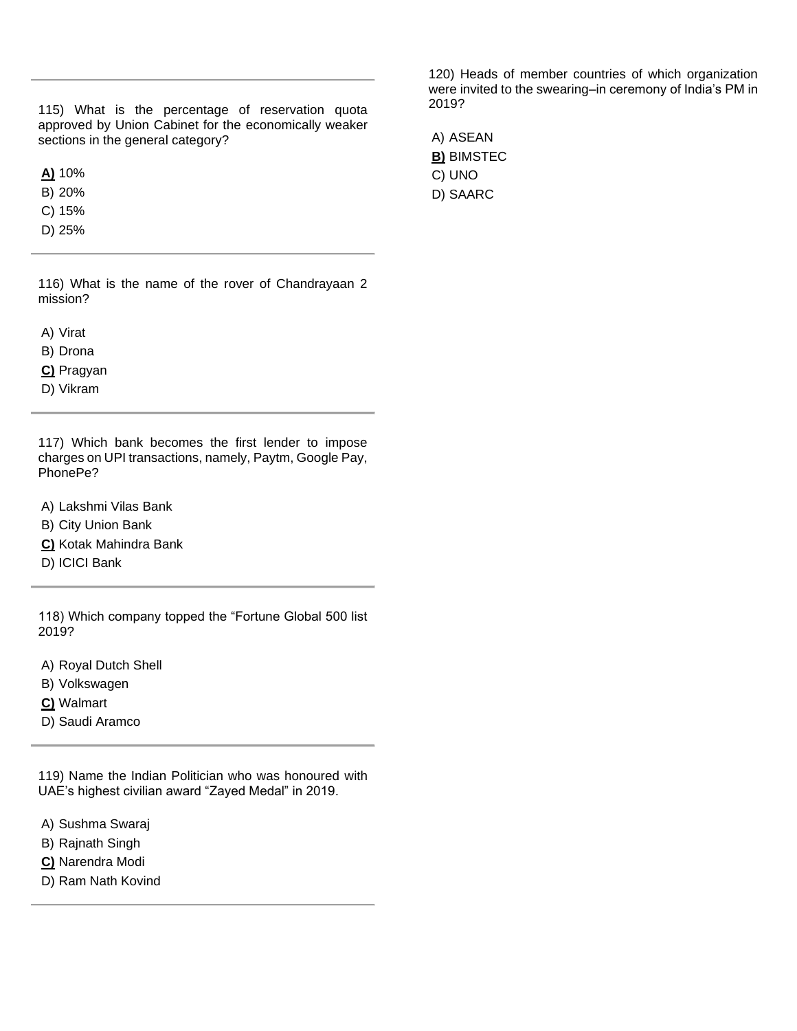115) What is the percentage of reservation quota approved by Union Cabinet for the economically weaker sections in the general category?

**A)** 10%

B) 20%

C) 15%

D) 25%

116) What is the name of the rover of Chandrayaan 2 mission?

A) Virat

B) Drona

**C)** Pragyan

D) Vikram

117) Which bank becomes the first lender to impose charges on UPI transactions, namely, Paytm, Google Pay, PhonePe?

A) Lakshmi Vilas Bank

B) City Union Bank

**C)** Kotak Mahindra Bank

D) ICICI Bank

118) Which company topped the "Fortune Global 500 list 2019?

A) Royal Dutch Shell

B) Volkswagen

**C)** Walmart

D) Saudi Aramco

119) Name the Indian Politician who was honoured with UAE's highest civilian award "Zayed Medal" in 2019.

A) Sushma Swaraj

B) Rajnath Singh

**C)** Narendra Modi

D) Ram Nath Kovind

120) Heads of member countries of which organization were invited to the swearing–in ceremony of India's PM in 2019?

A) ASEAN **B)** BIMSTEC C) UNO D) SAARC